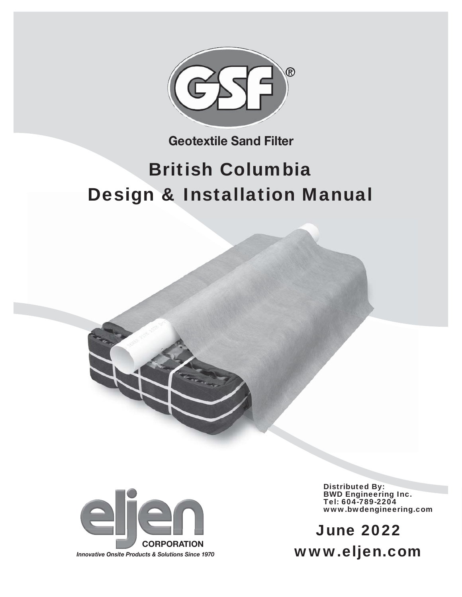

**Geotextile Sand Filter**

# British Columbia Design & Installation Manual



Distributed By: BWD Engineering Inc. Tel: 604-789-2204 www.bwdengineering.com

www.eljen.com June 2022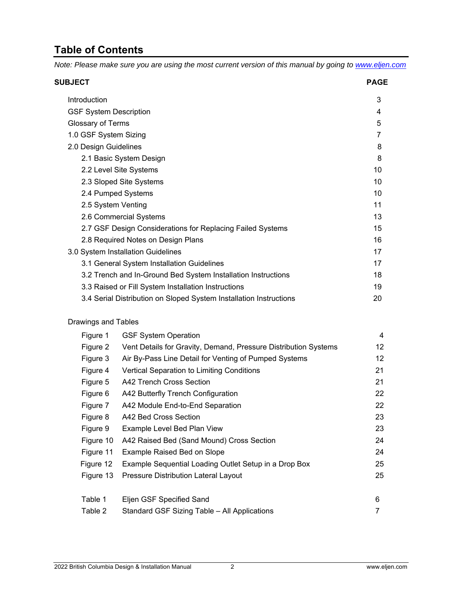### **Table of Contents**

*Note: Please make sure you are using the most current version of this manual by going to www.eljen.com*

| <b>SUBJECT</b>                                                     | <b>PAGE</b> |
|--------------------------------------------------------------------|-------------|
| Introduction                                                       | 3           |
| <b>GSF System Description</b>                                      | 4           |
| Glossary of Terms                                                  | 5           |
| 1.0 GSF System Sizing                                              | 7           |
| 2.0 Design Guidelines                                              | 8           |
| 2.1 Basic System Design                                            | 8           |
| 2.2 Level Site Systems                                             | 10          |
| 2.3 Sloped Site Systems                                            | 10          |
| 2.4 Pumped Systems                                                 | 10          |
| 2.5 System Venting                                                 | 11          |
| 2.6 Commercial Systems                                             | 13          |
| 2.7 GSF Design Considerations for Replacing Failed Systems         | 15          |
| 2.8 Required Notes on Design Plans                                 | 16          |
| 3.0 System Installation Guidelines                                 | 17          |
| 3.1 General System Installation Guidelines                         | 17          |
| 3.2 Trench and In-Ground Bed System Installation Instructions      | 18          |
| 3.3 Raised or Fill System Installation Instructions                | 19          |
| 3.4 Serial Distribution on Sloped System Installation Instructions | 20          |
|                                                                    |             |

#### Drawings and Tables

| Figure 1  | <b>GSF System Operation</b>                                     | 4               |
|-----------|-----------------------------------------------------------------|-----------------|
| Figure 2  | Vent Details for Gravity, Demand, Pressure Distribution Systems | 12 <sup>2</sup> |
| Figure 3  | Air By-Pass Line Detail for Venting of Pumped Systems           | 12              |
| Figure 4  | <b>Vertical Separation to Limiting Conditions</b>               | 21              |
| Figure 5  | A42 Trench Cross Section                                        | 21              |
| Figure 6  | A42 Butterfly Trench Configuration                              | 22              |
| Figure 7  | A42 Module End-to-End Separation                                | 22              |
| Figure 8  | A42 Bed Cross Section                                           | 23              |
| Figure 9  | Example Level Bed Plan View                                     | 23              |
| Figure 10 | A42 Raised Bed (Sand Mound) Cross Section                       | 24              |
| Figure 11 | Example Raised Bed on Slope                                     | 24              |
| Figure 12 | Example Sequential Loading Outlet Setup in a Drop Box           | 25              |
| Figure 13 | Pressure Distribution Lateral Layout                            | 25              |
|           |                                                                 |                 |
| Table 1   | Eljen GSF Specified Sand                                        | 6               |
| Table 2   | Standard GSF Sizing Table - All Applications                    |                 |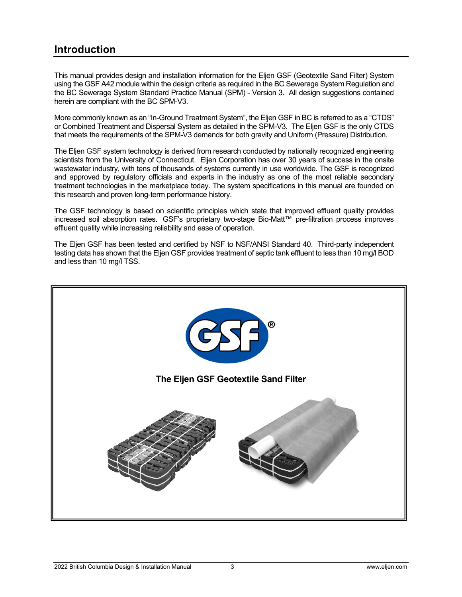### **Introduction**

This manual provides design and installation information for the Eljen GSF (Geotextile Sand Filter) System using the GSF A42 module within the design criteria as required in the BC Sewerage System Regulation and the BC Sewerage System Standard Practice Manual (SPM) - Version 3. All design suggestions contained herein are compliant with the BC SPM-V3.

More commonly known as an "In-Ground Treatment System", the Eljen GSF in BC is referred to as a "CTDS" or Combined Treatment and Dispersal System as detailed in the SPM-V3. The Eljen GSF is the only CTDS that meets the requirements of the SPM-V3 demands for both gravity and Uniform (Pressure) Distribution.

The Eljen GSF system technology is derived from research conducted by nationally recognized engineering scientists from the University of Connecticut. Eljen Corporation has over 30 years of success in the onsite wastewater industry, with tens of thousands of systems currently in use worldwide. The GSF is recognized and approved by regulatory officials and experts in the industry as one of the most reliable secondary treatment technologies in the marketplace today. The system specifications in this manual are founded on this research and proven long-term performance history.

The GSF technology is based on scientific principles which state that improved effluent quality provides increased soil absorption rates. GSF's proprietary two-stage Bio-Matt™ pre-filtration process improves effluent quality while increasing reliability and ease of operation.

The Eljen GSF has been tested and certified by NSF to NSF/ANSI Standard 40. Third-party independent testing data has shown that the Eljen GSF provides treatment of septic tank effluent to less than 10 mg/l BOD and less than 10 mg/l TSS.

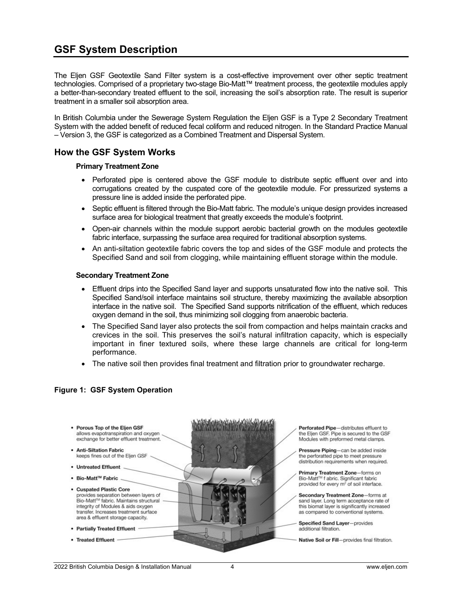### **GSF System Description**

The Eljen GSF Geotextile Sand Filter system is a cost-effective improvement over other septic treatment technologies. Comprised of a proprietary two-stage Bio-Matt™ treatment process, the geotextile modules apply a better-than-secondary treated effluent to the soil, increasing the soil's absorption rate. The result is superior treatment in a smaller soil absorption area.

In British Columbia under the Sewerage System Regulation the Eljen GSF is a Type 2 Secondary Treatment System with the added benefit of reduced fecal coliform and reduced nitrogen. In the Standard Practice Manual – Version 3, the GSF is categorized as a Combined Treatment and Dispersal System.

#### **How the GSF System Works**

#### **Primary Treatment Zone**

- Perforated pipe is centered above the GSF module to distribute septic effluent over and into corrugations created by the cuspated core of the geotextile module. For pressurized systems a pressure line is added inside the perforated pipe.
- Septic effluent is filtered through the Bio-Matt fabric. The module's unique design provides increased surface area for biological treatment that greatly exceeds the module's footprint.
- Open-air channels within the module support aerobic bacterial growth on the modules geotextile fabric interface, surpassing the surface area required for traditional absorption systems.
- An anti-siltation geotextile fabric covers the top and sides of the GSF module and protects the Specified Sand and soil from clogging, while maintaining effluent storage within the module.

#### **Secondary Treatment Zone**

- Effluent drips into the Specified Sand layer and supports unsaturated flow into the native soil. This Specified Sand/soil interface maintains soil structure, thereby maximizing the available absorption interface in the native soil. The Specified Sand supports nitrification of the effluent, which reduces oxygen demand in the soil, thus minimizing soil clogging from anaerobic bacteria.
- The Specified Sand layer also protects the soil from compaction and helps maintain cracks and crevices in the soil. This preserves the soil's natural infiltration capacity, which is especially important in finer textured soils, where these large channels are critical for long-term performance.
- The native soil then provides final treatment and filtration prior to groundwater recharge.

#### **Figure 1: GSF System Operation**



the Eljen GSF. Pipe is secured to the GSF Modules with preformed metal clamps.

Pressure Piping-can be added inside the perforatted pipe to meet pressure distribution requirements when required.

Primary Treatment Zone-forms on Bio-Matt™ f abric. Significant fabric provided for every m<sup>2</sup> of soil interface.

Secondary Treatment Zone-forms at sand layer. Long term acceptance rate of this biomat layer is significantly increased as compared to conventional systems.

Native Soil or Fill-provides final filtration.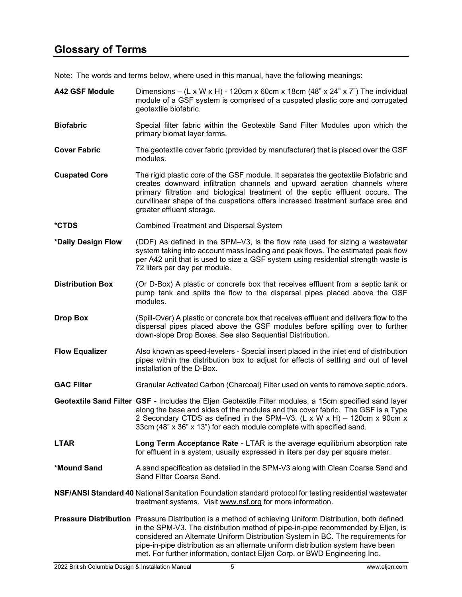Note: The words and terms below, where used in this manual, have the following meanings:

| <b>A42 GSF Module</b>   | Dimensions – (L x W x H) - 120cm x 60cm x 18cm (48" x 24" x 7") The individual<br>module of a GSF system is comprised of a cuspated plastic core and corrugated<br>geotextile biofabric.                                                                                                                                                                                                                                                             |
|-------------------------|------------------------------------------------------------------------------------------------------------------------------------------------------------------------------------------------------------------------------------------------------------------------------------------------------------------------------------------------------------------------------------------------------------------------------------------------------|
| <b>Biofabric</b>        | Special filter fabric within the Geotextile Sand Filter Modules upon which the<br>primary biomat layer forms.                                                                                                                                                                                                                                                                                                                                        |
| <b>Cover Fabric</b>     | The geotextile cover fabric (provided by manufacturer) that is placed over the GSF<br>modules.                                                                                                                                                                                                                                                                                                                                                       |
| <b>Cuspated Core</b>    | The rigid plastic core of the GSF module. It separates the geotextile Biofabric and<br>creates downward infiltration channels and upward aeration channels where<br>primary filtration and biological treatment of the septic effluent occurs. The<br>curvilinear shape of the cuspations offers increased treatment surface area and<br>greater effluent storage.                                                                                   |
| *CTDS                   | <b>Combined Treatment and Dispersal System</b>                                                                                                                                                                                                                                                                                                                                                                                                       |
| *Daily Design Flow      | (DDF) As defined in the SPM-V3, is the flow rate used for sizing a wastewater<br>system taking into account mass loading and peak flows. The estimated peak flow<br>per A42 unit that is used to size a GSF system using residential strength waste is<br>72 liters per day per module.                                                                                                                                                              |
| <b>Distribution Box</b> | (Or D-Box) A plastic or concrete box that receives effluent from a septic tank or<br>pump tank and splits the flow to the dispersal pipes placed above the GSF<br>modules.                                                                                                                                                                                                                                                                           |
| <b>Drop Box</b>         | (Spill-Over) A plastic or concrete box that receives effluent and delivers flow to the<br>dispersal pipes placed above the GSF modules before spilling over to further<br>down-slope Drop Boxes. See also Sequential Distribution.                                                                                                                                                                                                                   |
| <b>Flow Equalizer</b>   | Also known as speed-levelers - Special insert placed in the inlet end of distribution<br>pipes within the distribution box to adjust for effects of settling and out of level<br>installation of the D-Box.                                                                                                                                                                                                                                          |
| <b>GAC Filter</b>       | Granular Activated Carbon (Charcoal) Filter used on vents to remove septic odors.                                                                                                                                                                                                                                                                                                                                                                    |
|                         | Geotextile Sand Filter GSF - Includes the Eljen Geotextile Filter modules, a 15cm specified sand layer<br>along the base and sides of the modules and the cover fabric. The GSF is a Type<br>2 Secondary CTDS as defined in the SPM-V3. (L x W x H) - 120cm x 90cm x<br>33cm (48" x 36" x 13") for each module complete with specified sand.                                                                                                         |
| <b>LTAR</b>             | Long Term Acceptance Rate - LTAR is the average equilibrium absorption rate<br>for effluent in a system, usually expressed in liters per day per square meter.                                                                                                                                                                                                                                                                                       |
| *Mound Sand             | A sand specification as detailed in the SPM-V3 along with Clean Coarse Sand and<br>Sand Filter Coarse Sand.                                                                                                                                                                                                                                                                                                                                          |
|                         | <b>NSF/ANSI Standard 40 National Sanitation Foundation standard protocol for testing residential wastewater</b><br>treatment systems. Visit www.nsf.org for more information.                                                                                                                                                                                                                                                                        |
|                         | <b>Pressure Distribution</b> Pressure Distribution is a method of achieving Uniform Distribution, both defined<br>in the SPM-V3. The distribution method of pipe-in-pipe recommended by Eljen, is<br>considered an Alternate Uniform Distribution System in BC. The requirements for<br>pipe-in-pipe distribution as an alternate uniform distribution system have been<br>met. For further information, contact Eljen Corp. or BWD Engineering Inc. |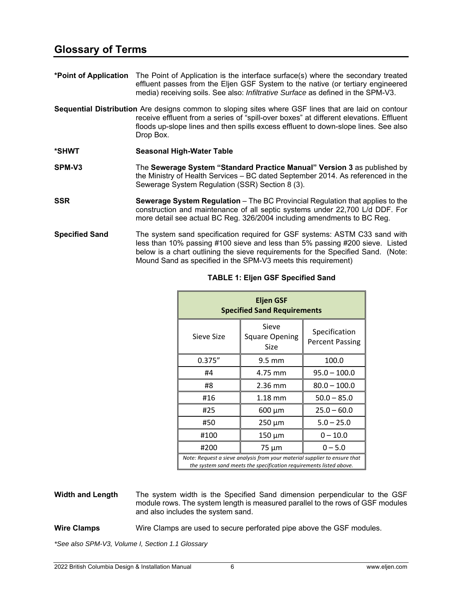**\*Point of Application** The Point of Application is the interface surface(s) where the secondary treated effluent passes from the Eljen GSF System to the native (or tertiary engineered media) receiving soils. See also: *Infiltrative Surface* as defined in the SPM-V3.

**Sequential Distribution** Are designs common to sloping sites where GSF lines that are laid on contour receive effluent from a series of "spill-over boxes" at different elevations. Effluent floods up-slope lines and then spills excess effluent to down-slope lines. See also Drop Box.

- **\*SHWT Seasonal High-Water Table**
- **SPM-V3** The **Sewerage System "Standard Practice Manual" Version 3** as published by the Ministry of Health Services – BC dated September 2014. As referenced in the Sewerage System Regulation (SSR) Section 8 (3).
- **SSR Sewerage System Regulation** The BC Provincial Regulation that applies to the construction and maintenance of all septic systems under 22,700 L/d DDF. For more detail see actual BC Reg. 326/2004 including amendments to BC Reg.
- **Specified Sand** The system sand specification required for GSF systems: ASTM C33 sand with less than 10% passing #100 sieve and less than 5% passing #200 sieve. Listed below is a chart outlining the sieve requirements for the Specified Sand. (Note: Mound Sand as specified in the SPM-V3 meets this requirement)

| <b>Eljen GSF</b><br><b>Specified Sand Requirements</b>                                                                                          |                                        |                                         |  |  |  |
|-------------------------------------------------------------------------------------------------------------------------------------------------|----------------------------------------|-----------------------------------------|--|--|--|
| Sieve Size                                                                                                                                      | Sieve<br><b>Square Opening</b><br>Size | Specification<br><b>Percent Passing</b> |  |  |  |
| 0.375''                                                                                                                                         | $9.5 \text{ mm}$                       | 100.0                                   |  |  |  |
| #4                                                                                                                                              | 4.75 mm                                | $95.0 - 100.0$                          |  |  |  |
| #8                                                                                                                                              | 2.36 mm                                | $80.0 - 100.0$                          |  |  |  |
| #16                                                                                                                                             | $1.18 \text{ mm}$                      | $50.0 - 85.0$                           |  |  |  |
| #25                                                                                                                                             | $600 \mu m$                            | $25.0 - 60.0$                           |  |  |  |
| #50                                                                                                                                             | 250 µm                                 | $5.0 - 25.0$                            |  |  |  |
| #100                                                                                                                                            | $150 \mu m$                            | $0 - 10.0$                              |  |  |  |
| #200                                                                                                                                            | 75 µm                                  | $0 - 5.0$                               |  |  |  |
| Note: Request a sieve analysis from your material supplier to ensure that<br>the system sand meets the specification requirements listed above. |                                        |                                         |  |  |  |

#### **TABLE 1: Eljen GSF Specified Sand**

**Width and Length** The system width is the Specified Sand dimension perpendicular to the GSF module rows. The system length is measured parallel to the rows of GSF modules and also includes the system sand.

**Wire Clamps** Wire Clamps are used to secure perforated pipe above the GSF modules.

*\*See also SPM-V3, Volume I, Section 1.1 Glossary*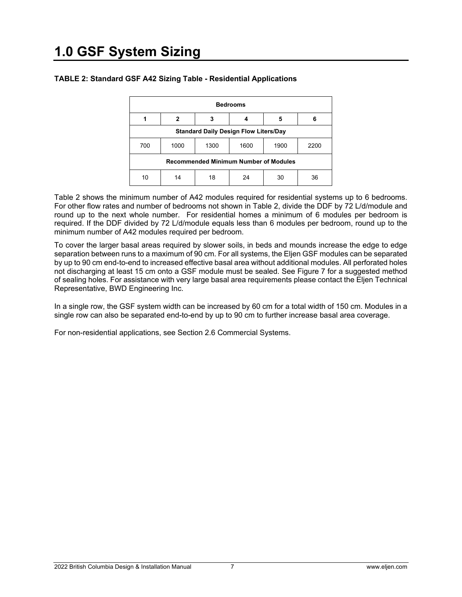| <b>Bedrooms</b>                              |      |      |      |      |      |  |  |
|----------------------------------------------|------|------|------|------|------|--|--|
|                                              | 2    | 3    |      | 5    | 6    |  |  |
| <b>Standard Daily Design Flow Liters/Day</b> |      |      |      |      |      |  |  |
| 700                                          | 1000 | 1300 | 1600 | 1900 | 2200 |  |  |
| <b>Recommended Minimum Number of Modules</b> |      |      |      |      |      |  |  |
| 10                                           | 14   | 18   | 24   | 30   | 36   |  |  |

#### **TABLE 2: Standard GSF A42 Sizing Table - Residential Applications**

Table 2 shows the minimum number of A42 modules required for residential systems up to 6 bedrooms. For other flow rates and number of bedrooms not shown in Table 2, divide the DDF by 72 L/d/module and round up to the next whole number. For residential homes a minimum of 6 modules per bedroom is required. If the DDF divided by 72 L/d/module equals less than 6 modules per bedroom, round up to the minimum number of A42 modules required per bedroom.

To cover the larger basal areas required by slower soils, in beds and mounds increase the edge to edge separation between runs to a maximum of 90 cm. For all systems, the Eljen GSF modules can be separated by up to 90 cm end-to-end to increased effective basal area without additional modules. All perforated holes not discharging at least 15 cm onto a GSF module must be sealed. See Figure 7 for a suggested method of sealing holes. For assistance with very large basal area requirements please contact the Eljen Technical Representative, BWD Engineering Inc.

In a single row, the GSF system width can be increased by 60 cm for a total width of 150 cm. Modules in a single row can also be separated end-to-end by up to 90 cm to further increase basal area coverage.

For non-residential applications, see Section 2.6 Commercial Systems.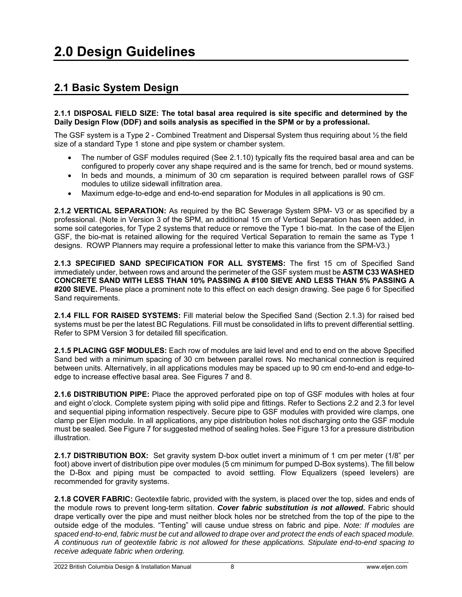### **2.1 Basic System Design**

#### **2.1.1 DISPOSAL FIELD SIZE: The total basal area required is site specific and determined by the Daily Design Flow (DDF) and soils analysis as specified in the SPM or by a professional.**

The GSF system is a Type 2 - Combined Treatment and Dispersal System thus requiring about ½ the field size of a standard Type 1 stone and pipe system or chamber system.

- The number of GSF modules required (See 2.1.10) typically fits the required basal area and can be configured to properly cover any shape required and is the same for trench, bed or mound systems.
- In beds and mounds, a minimum of 30 cm separation is required between parallel rows of GSF modules to utilize sidewall infiltration area.
- Maximum edge-to-edge and end-to-end separation for Modules in all applications is 90 cm.

**2.1.2 VERTICAL SEPARATION:** As required by the BC Sewerage System SPM- V3 or as specified by a professional. (Note in Version 3 of the SPM, an additional 15 cm of Vertical Separation has been added, in some soil categories, for Type 2 systems that reduce or remove the Type 1 bio-mat. In the case of the Eljen GSF, the bio-mat is retained allowing for the required Vertical Separation to remain the same as Type 1 designs. ROWP Planners may require a professional letter to make this variance from the SPM-V3.)

**2.1.3 SPECIFIED SAND SPECIFICATION FOR ALL SYSTEMS:** The first 15 cm of Specified Sand immediately under, between rows and around the perimeter of the GSF system must be **ASTM C33 WASHED CONCRETE SAND WITH LESS THAN 10% PASSING A #100 SIEVE AND LESS THAN 5% PASSING A #200 SIEVE.** Please place a prominent note to this effect on each design drawing. See page 6 for Specified Sand requirements.

**2.1.4 FILL FOR RAISED SYSTEMS:** Fill material below the Specified Sand (Section 2.1.3) for raised bed systems must be per the latest BC Regulations. Fill must be consolidated in lifts to prevent differential settling. Refer to SPM Version 3 for detailed fill specification.

**2.1.5 PLACING GSF MODULES:** Each row of modules are laid level and end to end on the above Specified Sand bed with a minimum spacing of 30 cm between parallel rows. No mechanical connection is required between units. Alternatively, in all applications modules may be spaced up to 90 cm end-to-end and edge-toedge to increase effective basal area. See Figures 7 and 8.

**2.1.6 DISTRIBUTION PIPE:** Place the approved perforated pipe on top of GSF modules with holes at four and eight o'clock. Complete system piping with solid pipe and fittings. Refer to Sections 2.2 and 2.3 for level and sequential piping information respectively. Secure pipe to GSF modules with provided wire clamps, one clamp per Eljen module. In all applications, any pipe distribution holes not discharging onto the GSF module must be sealed. See Figure 7 for suggested method of sealing holes. See Figure 13 for a pressure distribution illustration.

**2.1.7 DISTRIBUTION BOX:** Set gravity system D-box outlet invert a minimum of 1 cm per meter (1/8" per foot) above invert of distribution pipe over modules (5 cm minimum for pumped D-Box systems). The fill below the D-Box and piping must be compacted to avoid settling. Flow Equalizers (speed levelers) are recommended for gravity systems.

**2.1.8 COVER FABRIC:** Geotextile fabric, provided with the system, is placed over the top, sides and ends of the module rows to prevent long-term siltation. *Cover fabric substitution is not allowed***.** Fabric should drape vertically over the pipe and must neither block holes nor be stretched from the top of the pipe to the outside edge of the modules. "Tenting" will cause undue stress on fabric and pipe. *Note: If modules are spaced end-to-end, fabric must be cut and allowed to drape over and protect the ends of each spaced module. A continuous run of geotextile fabric is not allowed for these applications. Stipulate end-to-end spacing to receive adequate fabric when ordering.*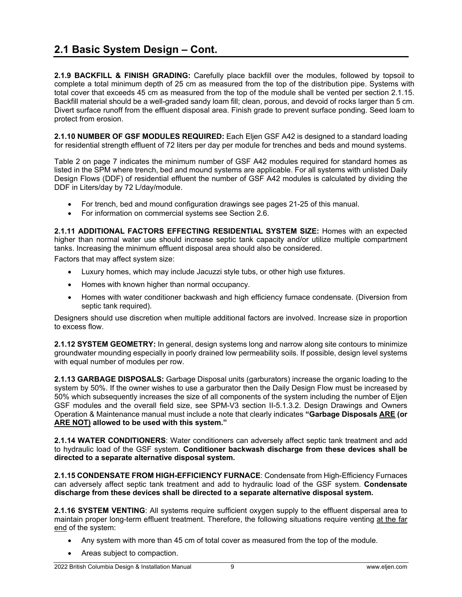**2.1.9 BACKFILL & FINISH GRADING:** Carefully place backfill over the modules, followed by topsoil to complete a total minimum depth of 25 cm as measured from the top of the distribution pipe. Systems with total cover that exceeds 45 cm as measured from the top of the module shall be vented per section 2.1.15. Backfill material should be a well-graded sandy loam fill; clean, porous, and devoid of rocks larger than 5 cm. Divert surface runoff from the effluent disposal area. Finish grade to prevent surface ponding. Seed loam to protect from erosion.

**2.1.10 NUMBER OF GSF MODULES REQUIRED:** Each Eljen GSF A42 is designed to a standard loading for residential strength effluent of 72 liters per day per module for trenches and beds and mound systems.

Table 2 on page 7 indicates the minimum number of GSF A42 modules required for standard homes as listed in the SPM where trench, bed and mound systems are applicable. For all systems with unlisted Daily Design Flows (DDF) of residential effluent the number of GSF A42 modules is calculated by dividing the DDF in Liters/day by 72 L/day/module.

- For trench, bed and mound configuration drawings see pages 21-25 of this manual.
- For information on commercial systems see Section 2.6.

**2.1.11 ADDITIONAL FACTORS EFFECTING RESIDENTIAL SYSTEM SIZE:** Homes with an expected higher than normal water use should increase septic tank capacity and/or utilize multiple compartment tanks. Increasing the minimum effluent disposal area should also be considered.

Factors that may affect system size:

- Luxury homes, which may include Jacuzzi style tubs, or other high use fixtures.
- Homes with known higher than normal occupancy.
- Homes with water conditioner backwash and high efficiency furnace condensate. (Diversion from septic tank required).

Designers should use discretion when multiple additional factors are involved. Increase size in proportion to excess flow.

**2.1.12 SYSTEM GEOMETRY:** In general, design systems long and narrow along site contours to minimize groundwater mounding especially in poorly drained low permeability soils. If possible, design level systems with equal number of modules per row.

**2.1.13 GARBAGE DISPOSALS:** Garbage Disposal units (garburators) increase the organic loading to the system by 50%. If the owner wishes to use a garburator then the Daily Design Flow must be increased by 50% which subsequently increases the size of all components of the system including the number of Eljen GSF modules and the overall field size, see SPM-V3 section II-5.1.3.2. Design Drawings and Owners Operation & Maintenance manual must include a note that clearly indicates **"Garbage Disposals ARE (or ARE NOT) allowed to be used with this system."**

**2.1.14 WATER CONDITIONERS**: Water conditioners can adversely affect septic tank treatment and add to hydraulic load of the GSF system. **Conditioner backwash discharge from these devices shall be directed to a separate alternative disposal system.** 

**2.1.15 CONDENSATE FROM HIGH-EFFICIENCY FURNACE**: Condensate from High-Efficiency Furnaces can adversely affect septic tank treatment and add to hydraulic load of the GSF system. **Condensate discharge from these devices shall be directed to a separate alternative disposal system.**

**2.1.16 SYSTEM VENTING**: All systems require sufficient oxygen supply to the effluent dispersal area to maintain proper long-term effluent treatment. Therefore, the following situations require venting at the far end of the system:

- Any system with more than 45 cm of total cover as measured from the top of the module.
- Areas subject to compaction.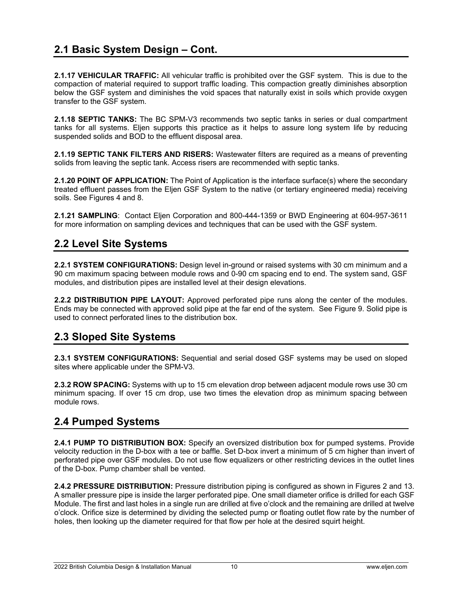### **2.1 Basic System Design – Cont.**

**2.1.17 VEHICULAR TRAFFIC:** All vehicular traffic is prohibited over the GSF system. This is due to the compaction of material required to support traffic loading. This compaction greatly diminishes absorption below the GSF system and diminishes the void spaces that naturally exist in soils which provide oxygen transfer to the GSF system.

**2.1.18 SEPTIC TANKS:** The BC SPM-V3 recommends two septic tanks in series or dual compartment tanks for all systems. Eljen supports this practice as it helps to assure long system life by reducing suspended solids and BOD to the effluent disposal area.

**2.1.19 SEPTIC TANK FILTERS AND RISERS:** Wastewater filters are required as a means of preventing solids from leaving the septic tank. Access risers are recommended with septic tanks.

**2.1.20 POINT OF APPLICATION:** The Point of Application is the interface surface(s) where the secondary treated effluent passes from the Eljen GSF System to the native (or tertiary engineered media) receiving soils. See Figures 4 and 8.

**2.1.21 SAMPLING**: Contact Eljen Corporation and 800-444-1359 or BWD Engineering at 604-957-3611 for more information on sampling devices and techniques that can be used with the GSF system.

#### **2.2 Level Site Systems**

**2.2.1 SYSTEM CONFIGURATIONS:** Design level in-ground or raised systems with 30 cm minimum and a 90 cm maximum spacing between module rows and 0-90 cm spacing end to end. The system sand, GSF modules, and distribution pipes are installed level at their design elevations.

**2.2.2 DISTRIBUTION PIPE LAYOUT:** Approved perforated pipe runs along the center of the modules. Ends may be connected with approved solid pipe at the far end of the system. See Figure 9. Solid pipe is used to connect perforated lines to the distribution box.

#### **2.3 Sloped Site Systems**

**2.3.1 SYSTEM CONFIGURATIONS:** Sequential and serial dosed GSF systems may be used on sloped sites where applicable under the SPM-V3.

**2.3.2 ROW SPACING:** Systems with up to 15 cm elevation drop between adjacent module rows use 30 cm minimum spacing. If over 15 cm drop, use two times the elevation drop as minimum spacing between module rows.

#### **2.4 Pumped Systems**

**2.4.1 PUMP TO DISTRIBUTION BOX:** Specify an oversized distribution box for pumped systems. Provide velocity reduction in the D-box with a tee or baffle. Set D-box invert a minimum of 5 cm higher than invert of perforated pipe over GSF modules. Do not use flow equalizers or other restricting devices in the outlet lines of the D-box. Pump chamber shall be vented.

**2.4.2 PRESSURE DISTRIBUTION:** Pressure distribution piping is configured as shown in Figures 2 and 13. A smaller pressure pipe is inside the larger perforated pipe. One small diameter orifice is drilled for each GSF Module. The first and last holes in a single run are drilled at five o'clock and the remaining are drilled at twelve o'clock. Orifice size is determined by dividing the selected pump or floating outlet flow rate by the number of holes, then looking up the diameter required for that flow per hole at the desired squirt height.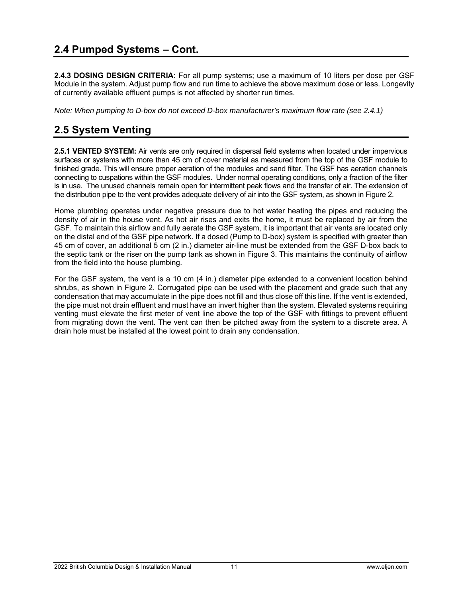**2.4.3 DOSING DESIGN CRITERIA:** For all pump systems; use a maximum of 10 liters per dose per GSF Module in the system. Adjust pump flow and run time to achieve the above maximum dose or less. Longevity of currently available effluent pumps is not affected by shorter run times.

*Note: When pumping to D-box do not exceed D-box manufacturer's maximum flow rate (see 2.4.1)* 

### **2.5 System Venting**

**2.5.1 VENTED SYSTEM:** Air vents are only required in dispersal field systems when located under impervious surfaces or systems with more than 45 cm of cover material as measured from the top of the GSF module to finished grade. This will ensure proper aeration of the modules and sand filter. The GSF has aeration channels connecting to cuspations within the GSF modules. Under normal operating conditions, only a fraction of the filter is in use. The unused channels remain open for intermittent peak flows and the transfer of air. The extension of the distribution pipe to the vent provides adequate delivery of air into the GSF system, as shown in Figure 2.

Home plumbing operates under negative pressure due to hot water heating the pipes and reducing the density of air in the house vent. As hot air rises and exits the home, it must be replaced by air from the GSF. To maintain this airflow and fully aerate the GSF system, it is important that air vents are located only on the distal end of the GSF pipe network. If a dosed (Pump to D-box) system is specified with greater than 45 cm of cover, an additional 5 cm (2 in.) diameter air-line must be extended from the GSF D-box back to the septic tank or the riser on the pump tank as shown in Figure 3. This maintains the continuity of airflow from the field into the house plumbing.

For the GSF system, the vent is a 10 cm (4 in.) diameter pipe extended to a convenient location behind shrubs, as shown in Figure 2. Corrugated pipe can be used with the placement and grade such that any condensation that may accumulate in the pipe does not fill and thus close off this line. If the vent is extended, the pipe must not drain effluent and must have an invert higher than the system. Elevated systems requiring venting must elevate the first meter of vent line above the top of the GSF with fittings to prevent effluent from migrating down the vent. The vent can then be pitched away from the system to a discrete area. A drain hole must be installed at the lowest point to drain any condensation.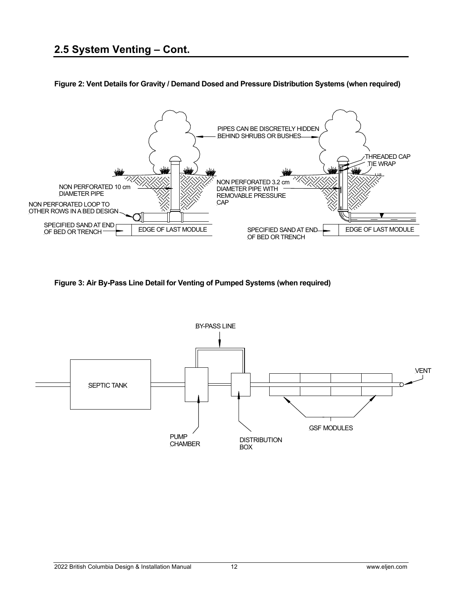

**Figure 2: Vent Details for Gravity / Demand Dosed and Pressure Distribution Systems (when required)** 

**Figure 3: Air By-Pass Line Detail for Venting of Pumped Systems (when required)** 

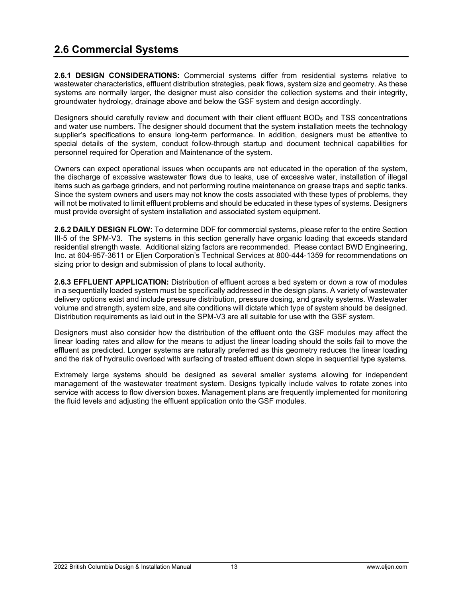**2.6.1 DESIGN CONSIDERATIONS:** Commercial systems differ from residential systems relative to wastewater characteristics, effluent distribution strategies, peak flows, system size and geometry. As these systems are normally larger, the designer must also consider the collection systems and their integrity, groundwater hydrology, drainage above and below the GSF system and design accordingly.

Designers should carefully review and document with their client effluent BOD<sub>5</sub> and TSS concentrations and water use numbers. The designer should document that the system installation meets the technology supplier's specifications to ensure long-term performance. In addition, designers must be attentive to special details of the system, conduct follow-through startup and document technical capabilities for personnel required for Operation and Maintenance of the system.

Owners can expect operational issues when occupants are not educated in the operation of the system, the discharge of excessive wastewater flows due to leaks, use of excessive water, installation of illegal items such as garbage grinders, and not performing routine maintenance on grease traps and septic tanks. Since the system owners and users may not know the costs associated with these types of problems, they will not be motivated to limit effluent problems and should be educated in these types of systems. Designers must provide oversight of system installation and associated system equipment.

**2.6.2 DAILY DESIGN FLOW:** To determine DDF for commercial systems, please refer to the entire Section III-5 of the SPM-V3. The systems in this section generally have organic loading that exceeds standard residential strength waste. Additional sizing factors are recommended. Please contact BWD Engineering, Inc. at 604-957-3611 or Eljen Corporation's Technical Services at 800-444-1359 for recommendations on sizing prior to design and submission of plans to local authority.

**2.6.3 EFFLUENT APPLICATION:** Distribution of effluent across a bed system or down a row of modules in a sequentially loaded system must be specifically addressed in the design plans. A variety of wastewater delivery options exist and include pressure distribution, pressure dosing, and gravity systems. Wastewater volume and strength, system size, and site conditions will dictate which type of system should be designed. Distribution requirements as laid out in the SPM-V3 are all suitable for use with the GSF system.

Designers must also consider how the distribution of the effluent onto the GSF modules may affect the linear loading rates and allow for the means to adjust the linear loading should the soils fail to move the effluent as predicted. Longer systems are naturally preferred as this geometry reduces the linear loading and the risk of hydraulic overload with surfacing of treated effluent down slope in sequential type systems.

Extremely large systems should be designed as several smaller systems allowing for independent management of the wastewater treatment system. Designs typically include valves to rotate zones into service with access to flow diversion boxes. Management plans are frequently implemented for monitoring the fluid levels and adjusting the effluent application onto the GSF modules.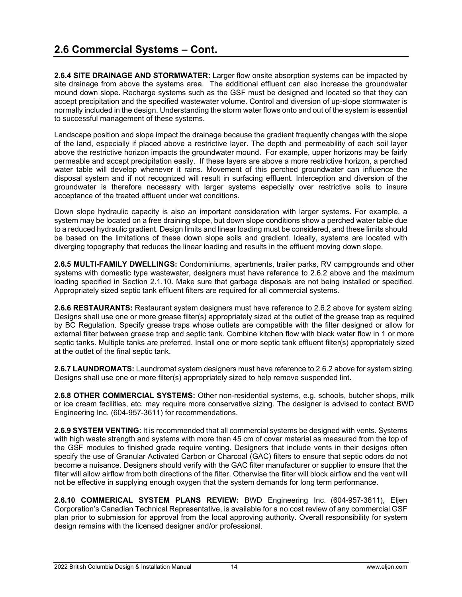**2.6.4 SITE DRAINAGE AND STORMWATER:** Larger flow onsite absorption systems can be impacted by site drainage from above the systems area. The additional effluent can also increase the groundwater mound down slope. Recharge systems such as the GSF must be designed and located so that they can accept precipitation and the specified wastewater volume. Control and diversion of up-slope stormwater is normally included in the design. Understanding the storm water flows onto and out of the system is essential to successful management of these systems.

Landscape position and slope impact the drainage because the gradient frequently changes with the slope of the land, especially if placed above a restrictive layer. The depth and permeability of each soil layer above the restrictive horizon impacts the groundwater mound. For example, upper horizons may be fairly permeable and accept precipitation easily. If these layers are above a more restrictive horizon, a perched water table will develop whenever it rains. Movement of this perched groundwater can influence the disposal system and if not recognized will result in surfacing effluent. Interception and diversion of the groundwater is therefore necessary with larger systems especially over restrictive soils to insure acceptance of the treated effluent under wet conditions.

Down slope hydraulic capacity is also an important consideration with larger systems. For example, a system may be located on a free draining slope, but down slope conditions show a perched water table due to a reduced hydraulic gradient. Design limits and linear loading must be considered, and these limits should be based on the limitations of these down slope soils and gradient. Ideally, systems are located with diverging topography that reduces the linear loading and results in the effluent moving down slope.

**2.6.5 MULTI-FAMILY DWELLINGS:** Condominiums, apartments, trailer parks, RV campgrounds and other systems with domestic type wastewater, designers must have reference to 2.6.2 above and the maximum loading specified in Section 2.1.10. Make sure that garbage disposals are not being installed or specified. Appropriately sized septic tank effluent filters are required for all commercial systems.

**2.6.6 RESTAURANTS:** Restaurant system designers must have reference to 2.6.2 above for system sizing. Designs shall use one or more grease filter(s) appropriately sized at the outlet of the grease trap as required by BC Regulation. Specify grease traps whose outlets are compatible with the filter designed or allow for external filter between grease trap and septic tank. Combine kitchen flow with black water flow in 1 or more septic tanks. Multiple tanks are preferred. Install one or more septic tank effluent filter(s) appropriately sized at the outlet of the final septic tank.

**2.6.7 LAUNDROMATS:** Laundromat system designers must have reference to 2.6.2 above for system sizing. Designs shall use one or more filter(s) appropriately sized to help remove suspended lint.

**2.6.8 OTHER COMMERCIAL SYSTEMS:** Other non-residential systems, e.g. schools, butcher shops, milk or ice cream facilities, etc. may require more conservative sizing. The designer is advised to contact BWD Engineering Inc. (604-957-3611) for recommendations.

**2.6.9 SYSTEM VENTING:** It is recommended that all commercial systems be designed with vents. Systems with high waste strength and systems with more than 45 cm of cover material as measured from the top of the GSF modules to finished grade require venting. Designers that include vents in their designs often specify the use of Granular Activated Carbon or Charcoal (GAC) filters to ensure that septic odors do not become a nuisance. Designers should verify with the GAC filter manufacturer or supplier to ensure that the filter will allow airflow from both directions of the filter. Otherwise the filter will block airflow and the vent will not be effective in supplying enough oxygen that the system demands for long term performance.

**2.6.10 COMMERICAL SYSTEM PLANS REVIEW:** BWD Engineering Inc. (604-957-3611), Eljen Corporation's Canadian Technical Representative, is available for a no cost review of any commercial GSF plan prior to submission for approval from the local approving authority. Overall responsibility for system design remains with the licensed designer and/or professional.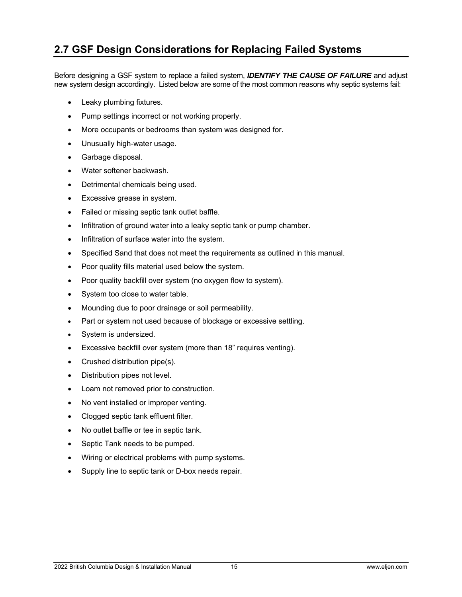### **2.7 GSF Design Considerations for Replacing Failed Systems**

Before designing a GSF system to replace a failed system, *IDENTIFY THE CAUSE OF FAILURE* and adjust new system design accordingly. Listed below are some of the most common reasons why septic systems fail:

- Leaky plumbing fixtures.
- Pump settings incorrect or not working properly.
- More occupants or bedrooms than system was designed for.
- Unusually high-water usage.
- Garbage disposal.
- Water softener backwash.
- Detrimental chemicals being used.
- **Excessive grease in system.**
- Failed or missing septic tank outlet baffle.
- Infiltration of ground water into a leaky septic tank or pump chamber.
- Infiltration of surface water into the system.
- Specified Sand that does not meet the requirements as outlined in this manual.
- Poor quality fills material used below the system.
- Poor quality backfill over system (no oxygen flow to system).
- System too close to water table.
- Mounding due to poor drainage or soil permeability.
- Part or system not used because of blockage or excessive settling.
- System is undersized.
- Excessive backfill over system (more than 18" requires venting).
- Crushed distribution pipe(s).
- Distribution pipes not level.
- Loam not removed prior to construction.
- No vent installed or improper venting.
- Clogged septic tank effluent filter.
- No outlet baffle or tee in septic tank.
- Septic Tank needs to be pumped.
- Wiring or electrical problems with pump systems.
- Supply line to septic tank or D-box needs repair.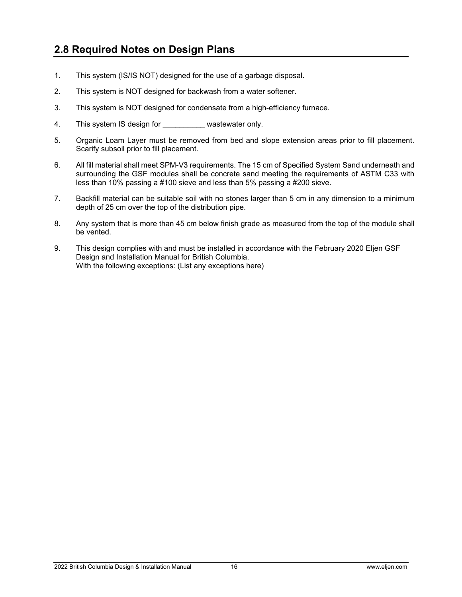### **2.8 Required Notes on Design Plans**

- 1. This system (IS/IS NOT) designed for the use of a garbage disposal.
- 2. This system is NOT designed for backwash from a water softener.
- 3. This system is NOT designed for condensate from a high-efficiency furnace.
- 4. This system IS design for **No. 18. 19. This wastewater only.**
- 5. Organic Loam Layer must be removed from bed and slope extension areas prior to fill placement. Scarify subsoil prior to fill placement.
- 6. All fill material shall meet SPM-V3 requirements. The 15 cm of Specified System Sand underneath and surrounding the GSF modules shall be concrete sand meeting the requirements of ASTM C33 with less than 10% passing a #100 sieve and less than 5% passing a #200 sieve.
- 7. Backfill material can be suitable soil with no stones larger than 5 cm in any dimension to a minimum depth of 25 cm over the top of the distribution pipe.
- 8. Any system that is more than 45 cm below finish grade as measured from the top of the module shall be vented.
- 9. This design complies with and must be installed in accordance with the February 2020 Eljen GSF Design and Installation Manual for British Columbia. With the following exceptions: (List any exceptions here)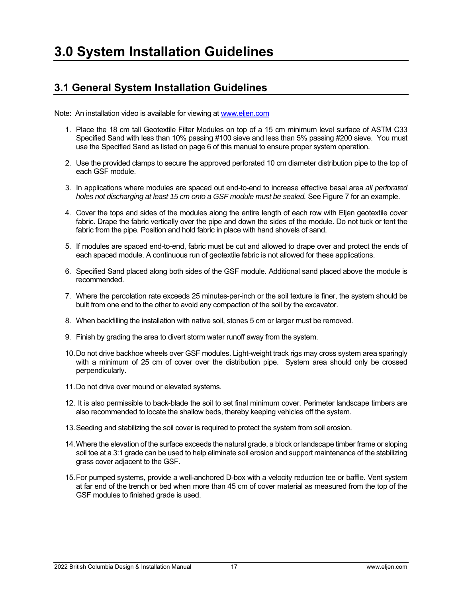### **3.1 General System Installation Guidelines**

Note: An installation video is available for viewing at www.eljen.com

- 1. Place the 18 cm tall Geotextile Filter Modules on top of a 15 cm minimum level surface of ASTM C33 Specified Sand with less than 10% passing #100 sieve and less than 5% passing #200 sieve. You must use the Specified Sand as listed on page 6 of this manual to ensure proper system operation.
- 2. Use the provided clamps to secure the approved perforated 10 cm diameter distribution pipe to the top of each GSF module.
- 3. In applications where modules are spaced out end-to-end to increase effective basal area *all perforated holes not discharging at least 15 cm onto a GSF module must be sealed.* See Figure 7 for an example.
- 4. Cover the tops and sides of the modules along the entire length of each row with Eljen geotextile cover fabric. Drape the fabric vertically over the pipe and down the sides of the module. Do not tuck or tent the fabric from the pipe. Position and hold fabric in place with hand shovels of sand.
- 5. If modules are spaced end-to-end, fabric must be cut and allowed to drape over and protect the ends of each spaced module. A continuous run of geotextile fabric is not allowed for these applications.
- 6. Specified Sand placed along both sides of the GSF module. Additional sand placed above the module is recommended.
- 7. Where the percolation rate exceeds 25 minutes-per-inch or the soil texture is finer, the system should be built from one end to the other to avoid any compaction of the soil by the excavator.
- 8. When backfilling the installation with native soil, stones 5 cm or larger must be removed.
- 9. Finish by grading the area to divert storm water runoff away from the system.
- 10. Do not drive backhoe wheels over GSF modules. Light-weight track rigs may cross system area sparingly with a minimum of 25 cm of cover over the distribution pipe. System area should only be crossed perpendicularly.
- 11. Do not drive over mound or elevated systems.
- 12. It is also permissible to back-blade the soil to set final minimum cover. Perimeter landscape timbers are also recommended to locate the shallow beds, thereby keeping vehicles off the system.
- 13. Seeding and stabilizing the soil cover is required to protect the system from soil erosion.
- 14. Where the elevation of the surface exceeds the natural grade, a block or landscape timber frame or sloping soil toe at a 3:1 grade can be used to help eliminate soil erosion and support maintenance of the stabilizing grass cover adjacent to the GSF.
- 15. For pumped systems, provide a well-anchored D-box with a velocity reduction tee or baffle. Vent system at far end of the trench or bed when more than 45 cm of cover material as measured from the top of the GSF modules to finished grade is used.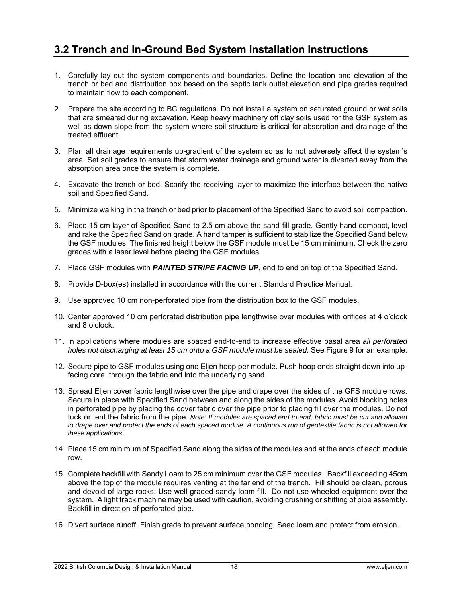### **3.2 Trench and In-Ground Bed System Installation Instructions**

- 1. Carefully lay out the system components and boundaries. Define the location and elevation of the trench or bed and distribution box based on the septic tank outlet elevation and pipe grades required to maintain flow to each component.
- 2. Prepare the site according to BC regulations. Do not install a system on saturated ground or wet soils that are smeared during excavation. Keep heavy machinery off clay soils used for the GSF system as well as down-slope from the system where soil structure is critical for absorption and drainage of the treated effluent.
- 3. Plan all drainage requirements up-gradient of the system so as to not adversely affect the system's area. Set soil grades to ensure that storm water drainage and ground water is diverted away from the absorption area once the system is complete.
- 4. Excavate the trench or bed. Scarify the receiving layer to maximize the interface between the native soil and Specified Sand.
- 5. Minimize walking in the trench or bed prior to placement of the Specified Sand to avoid soil compaction.
- 6. Place 15 cm layer of Specified Sand to 2.5 cm above the sand fill grade. Gently hand compact, level and rake the Specified Sand on grade. A hand tamper is sufficient to stabilize the Specified Sand below the GSF modules. The finished height below the GSF module must be 15 cm minimum. Check the zero grades with a laser level before placing the GSF modules.
- 7. Place GSF modules with *PAINTED STRIPE FACING UP*, end to end on top of the Specified Sand.
- 8. Provide D-box(es) installed in accordance with the current Standard Practice Manual.
- 9. Use approved 10 cm non-perforated pipe from the distribution box to the GSF modules.
- 10. Center approved 10 cm perforated distribution pipe lengthwise over modules with orifices at 4 o'clock and 8 o'clock.
- 11. In applications where modules are spaced end-to-end to increase effective basal area *all perforated holes not discharging at least 15 cm onto a GSF module must be sealed.* See Figure 9 for an example.
- 12. Secure pipe to GSF modules using one Eljen hoop per module. Push hoop ends straight down into upfacing core, through the fabric and into the underlying sand.
- 13. Spread Eljen cover fabric lengthwise over the pipe and drape over the sides of the GFS module rows. Secure in place with Specified Sand between and along the sides of the modules. Avoid blocking holes in perforated pipe by placing the cover fabric over the pipe prior to placing fill over the modules. Do not tuck or tent the fabric from the pipe. *Note: If modules are spaced end-to-end, fabric must be cut and allowed*  to drape over and protect the ends of each spaced module. A continuous run of geotextile fabric is not allowed for *these applications.*
- 14. Place 15 cm minimum of Specified Sand along the sides of the modules and at the ends of each module row.
- 15. Complete backfill with Sandy Loam to 25 cm minimum over the GSF modules. Backfill exceeding 45cm above the top of the module requires venting at the far end of the trench. Fill should be clean, porous and devoid of large rocks. Use well graded sandy loam fill. Do not use wheeled equipment over the system. A light track machine may be used with caution, avoiding crushing or shifting of pipe assembly. Backfill in direction of perforated pipe.
- 16. Divert surface runoff. Finish grade to prevent surface ponding. Seed loam and protect from erosion.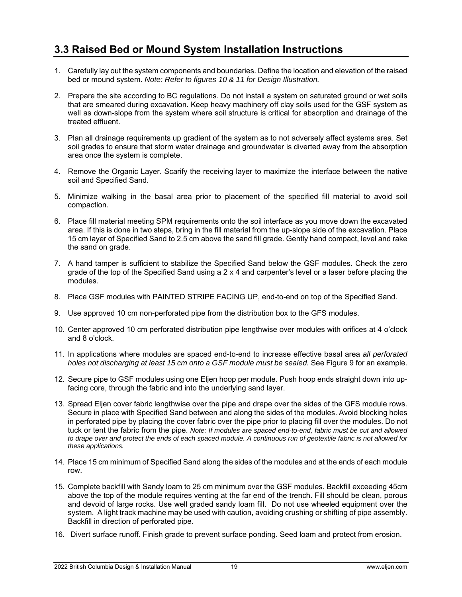### **3.3 Raised Bed or Mound System Installation Instructions**

- 1. Carefully lay out the system components and boundaries. Define the location and elevation of the raised bed or mound system. *Note: Refer to figures 10 & 11 for Design Illustration.*
- 2. Prepare the site according to BC regulations. Do not install a system on saturated ground or wet soils that are smeared during excavation. Keep heavy machinery off clay soils used for the GSF system as well as down-slope from the system where soil structure is critical for absorption and drainage of the treated effluent.
- 3. Plan all drainage requirements up gradient of the system as to not adversely affect systems area. Set soil grades to ensure that storm water drainage and groundwater is diverted away from the absorption area once the system is complete.
- 4. Remove the Organic Layer. Scarify the receiving layer to maximize the interface between the native soil and Specified Sand.
- 5. Minimize walking in the basal area prior to placement of the specified fill material to avoid soil compaction.
- 6. Place fill material meeting SPM requirements onto the soil interface as you move down the excavated area. If this is done in two steps, bring in the fill material from the up-slope side of the excavation. Place 15 cm layer of Specified Sand to 2.5 cm above the sand fill grade. Gently hand compact, level and rake the sand on grade.
- 7. A hand tamper is sufficient to stabilize the Specified Sand below the GSF modules. Check the zero grade of the top of the Specified Sand using a 2 x 4 and carpenter's level or a laser before placing the modules.
- 8. Place GSF modules with PAINTED STRIPE FACING UP, end-to-end on top of the Specified Sand.
- 9. Use approved 10 cm non-perforated pipe from the distribution box to the GFS modules.
- 10. Center approved 10 cm perforated distribution pipe lengthwise over modules with orifices at 4 o'clock and 8 o'clock.
- 11. In applications where modules are spaced end-to-end to increase effective basal area *all perforated holes not discharging at least 15 cm onto a GSF module must be sealed.* See Figure 9 for an example.
- 12. Secure pipe to GSF modules using one Eljen hoop per module. Push hoop ends straight down into upfacing core, through the fabric and into the underlying sand layer.
- 13. Spread Eljen cover fabric lengthwise over the pipe and drape over the sides of the GFS module rows. Secure in place with Specified Sand between and along the sides of the modules. Avoid blocking holes in perforated pipe by placing the cover fabric over the pipe prior to placing fill over the modules. Do not tuck or tent the fabric from the pipe. *Note: If modules are spaced end-to-end, fabric must be cut and allowed*  to drape over and protect the ends of each spaced module. A continuous run of geotextile fabric is not allowed for *these applications.*
- 14. Place 15 cm minimum of Specified Sand along the sides of the modules and at the ends of each module row.
- 15. Complete backfill with Sandy loam to 25 cm minimum over the GSF modules. Backfill exceeding 45cm above the top of the module requires venting at the far end of the trench. Fill should be clean, porous and devoid of large rocks. Use well graded sandy loam fill. Do not use wheeled equipment over the system. A light track machine may be used with caution, avoiding crushing or shifting of pipe assembly. Backfill in direction of perforated pipe.
- 16. Divert surface runoff. Finish grade to prevent surface ponding. Seed loam and protect from erosion.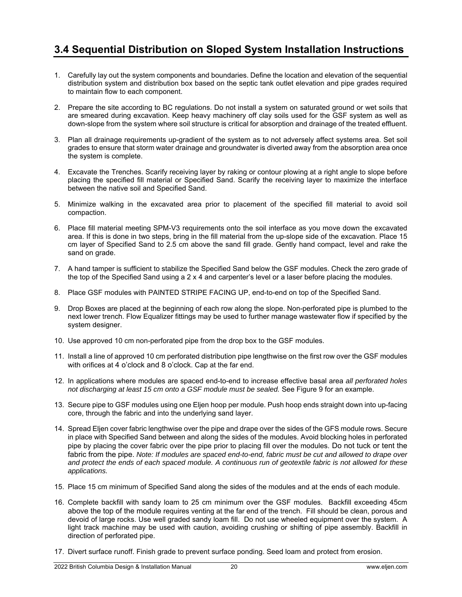### **3.4 Sequential Distribution on Sloped System Installation Instructions**

- 1. Carefully lay out the system components and boundaries. Define the location and elevation of the sequential distribution system and distribution box based on the septic tank outlet elevation and pipe grades required to maintain flow to each component.
- 2. Prepare the site according to BC regulations. Do not install a system on saturated ground or wet soils that are smeared during excavation. Keep heavy machinery off clay soils used for the GSF system as well as down-slope from the system where soil structure is critical for absorption and drainage of the treated effluent.
- 3. Plan all drainage requirements up-gradient of the system as to not adversely affect systems area. Set soil grades to ensure that storm water drainage and groundwater is diverted away from the absorption area once the system is complete.
- 4. Excavate the Trenches. Scarify receiving layer by raking or contour plowing at a right angle to slope before placing the specified fill material or Specified Sand. Scarify the receiving layer to maximize the interface between the native soil and Specified Sand.
- 5. Minimize walking in the excavated area prior to placement of the specified fill material to avoid soil compaction.
- 6. Place fill material meeting SPM-V3 requirements onto the soil interface as you move down the excavated area. If this is done in two steps, bring in the fill material from the up-slope side of the excavation. Place 15 cm layer of Specified Sand to 2.5 cm above the sand fill grade. Gently hand compact, level and rake the sand on grade.
- 7. A hand tamper is sufficient to stabilize the Specified Sand below the GSF modules. Check the zero grade of the top of the Specified Sand using a 2 x 4 and carpenter's level or a laser before placing the modules.
- 8. Place GSF modules with PAINTED STRIPE FACING UP, end-to-end on top of the Specified Sand.
- 9. Drop Boxes are placed at the beginning of each row along the slope. Non-perforated pipe is plumbed to the next lower trench. Flow Equalizer fittings may be used to further manage wastewater flow if specified by the system designer.
- 10. Use approved 10 cm non-perforated pipe from the drop box to the GSF modules.
- 11. Install a line of approved 10 cm perforated distribution pipe lengthwise on the first row over the GSF modules with orifices at 4 o'clock and 8 o'clock. Cap at the far end.
- 12. In applications where modules are spaced end-to-end to increase effective basal area *all perforated holes not discharging at least 15 cm onto a GSF module must be sealed.* See Figure 9 for an example.
- 13. Secure pipe to GSF modules using one Eljen hoop per module. Push hoop ends straight down into up-facing core, through the fabric and into the underlying sand layer.
- 14. Spread Eljen cover fabric lengthwise over the pipe and drape over the sides of the GFS module rows. Secure in place with Specified Sand between and along the sides of the modules. Avoid blocking holes in perforated pipe by placing the cover fabric over the pipe prior to placing fill over the modules. Do not tuck or tent the fabric from the pipe. *Note: If modules are spaced end-to-end, fabric must be cut and allowed to drape over and protect the ends of each spaced module. A continuous run of geotextile fabric is not allowed for these applications.*
- 15. Place 15 cm minimum of Specified Sand along the sides of the modules and at the ends of each module.
- 16. Complete backfill with sandy loam to 25 cm minimum over the GSF modules. Backfill exceeding 45cm above the top of the module requires venting at the far end of the trench. Fill should be clean, porous and devoid of large rocks. Use well graded sandy loam fill. Do not use wheeled equipment over the system. A light track machine may be used with caution, avoiding crushing or shifting of pipe assembly. Backfill in direction of perforated pipe.
- 17. Divert surface runoff. Finish grade to prevent surface ponding. Seed loam and protect from erosion.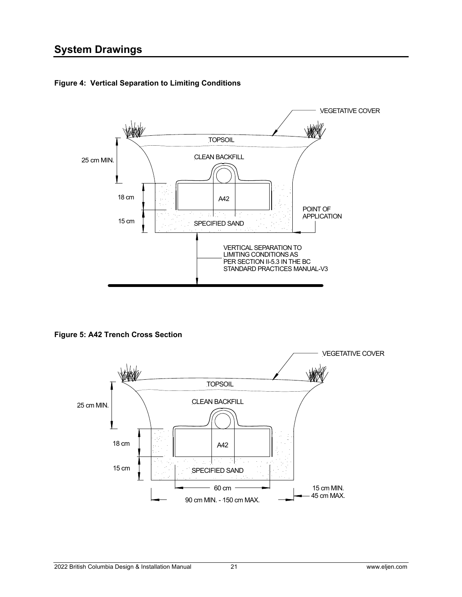

**Figure 4: Vertical Separation to Limiting Conditions**

**Figure 5: A42 Trench Cross Section**

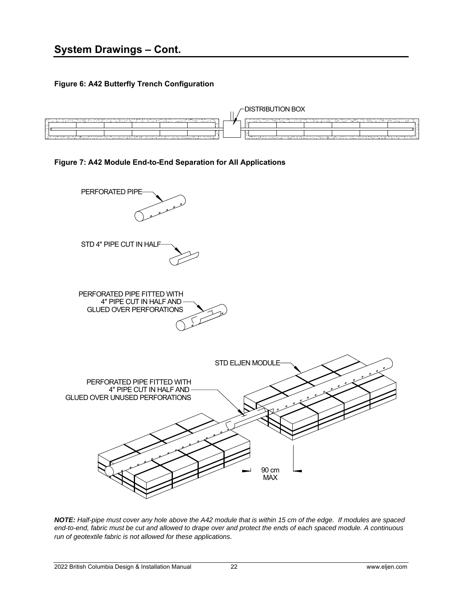**Figure 6: A42 Butterfly Trench Configuration** 



#### **Figure 7: A42 Module End-to-End Separation for All Applications**



*NOTE: Half-pipe must cover any hole above the A42 module that is within 15 cm of the edge. If modules are spaced end-to-end, fabric must be cut and allowed to drape over and protect the ends of each spaced module. A continuous run of geotextile fabric is not allowed for these applications.*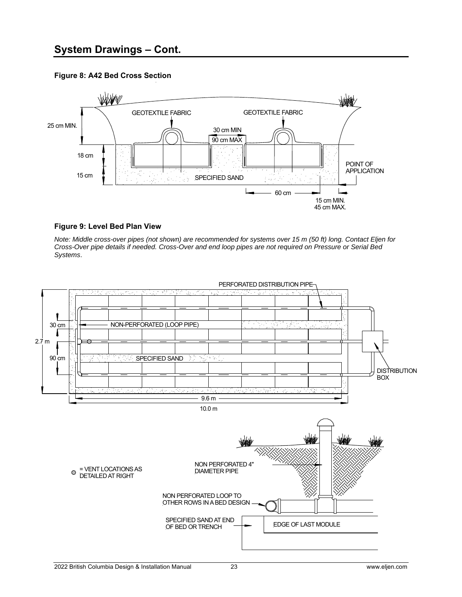### **System Drawings – Cont.**

#### **Figure 8: A42 Bed Cross Section**



#### **Figure 9: Level Bed Plan View**

*Note: Middle cross-over pipes (not shown) are recommended for systems over 15 m (50 ft) long. Contact Eljen for Cross-Over pipe details if needed. Cross-Over and end loop pipes are not required on Pressure or Serial Bed Systems*.

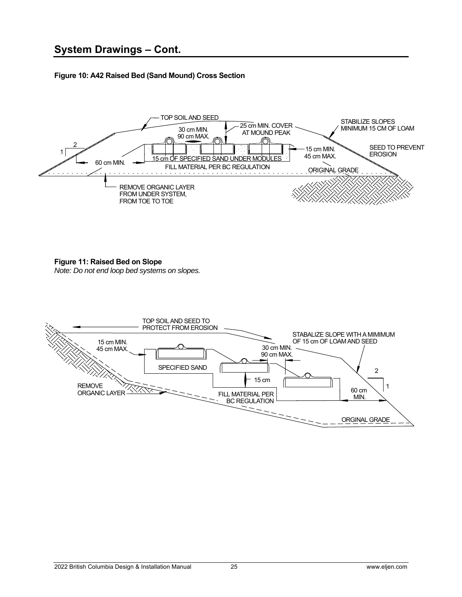#### **Figure 10: A42 Raised Bed (Sand Mound) Cross Section**



#### **Figure 11: Raised Bed on Slope**

*Note: Do not end loop bed systems on slopes.* 

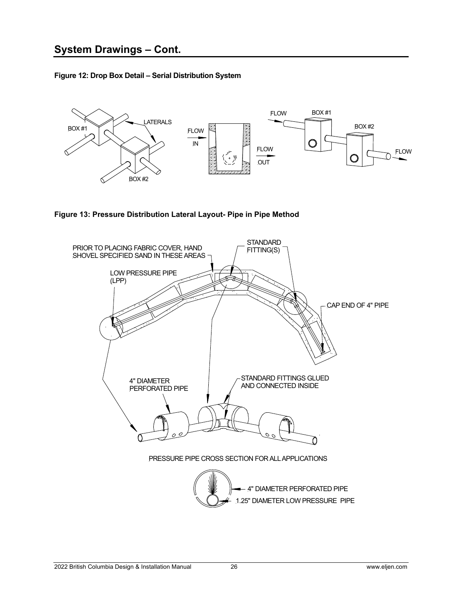**Figure 12: Drop Box Detail – Serial Distribution System**